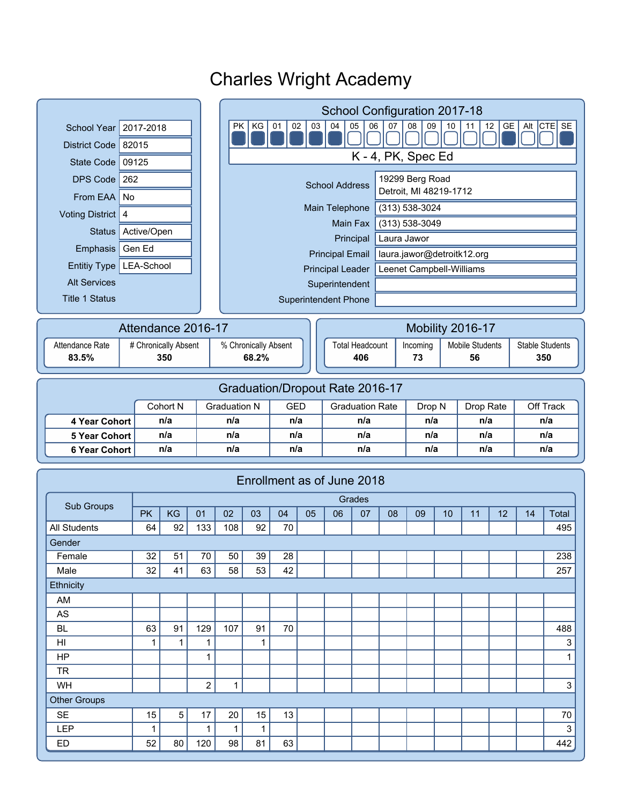#### **Superintendent** Superintendent Phone School Year 2017-2018 District Code 82015 State Code 09125 DPS Code  $262$ From EAA  $\vert$  No Voting District 4 Emphasis Gen Ed Status Active/Open Entitiy Type LEA-School Alt Services Title 1 Status PK KG 01 02 03 04 05 06 07 08 09 10 11 12 GE Alt CTE SE 1 1 1 1 1 1 0 0 0 0 0 0 0 0 1 0 0 1 K - 4, PK, Spec Ed 19299 Berg Road Detroit, MI 48219-1712 Main Telephone (313) 538-3024 Main Fax (313) 538-3049 Principal Principal Leader | Leenet Campbell-Williams laura.jawor@detroitk12.org Laura Jawor School Configuration 2017-18 School Address Principal Email Attendance Rate | # Chronically Absent | % Chronically Absent **83.5% 68.2%** Attendance 2016-17 Total Headcount | Incoming | Mobile Students | Stable Students **406 73 56 350** Mobility 2016-17 Cohort N Graduation N GED Graduation Rate Drop N Drop Rate Off Track **4 Year Cohort n/a n/a n/a n/a n/a n/a n/a 5 Year Cohort n/a n/a n/a n/a n/a n/a n/a 6 Year Cohort n/a n/a n/a n/a n/a n/a n/a** Graduation/Dropout Rate 2016-17 PK | KG | 01 | 02 | 03 | 04 | 05 | 06 | 07 | 08 | 09 | 10 | 11 | 12 | 14 | Total Grades Sub Groups Female 32 51 70 50 39 28 238 Male | 32 | 41 | 63 | 58 | 53 | 42 | | | | | | | | | 257 AM AS BL 63 91 129 107 91 70 488 HI 1 1 1 1 3 HP | | | 1| | | | | | | | | | | | | 1 TR WH | | | 2 | 1 | | | | | | | | | | | | 3 Enrollment as of June 2018 All Students 64 92 133 108 92 70 495 Gender SE | 15 | 5 | 17 | 20 | 15 | 13 | | | | | | | | | | | | | 70 Other Groups **Ethnicity** LEP | 1 | 1 | 1 | 1 | | | | | | | | | | 3 **350**

ED 52 80 120 98 81 63 442

# Charles Wright Academy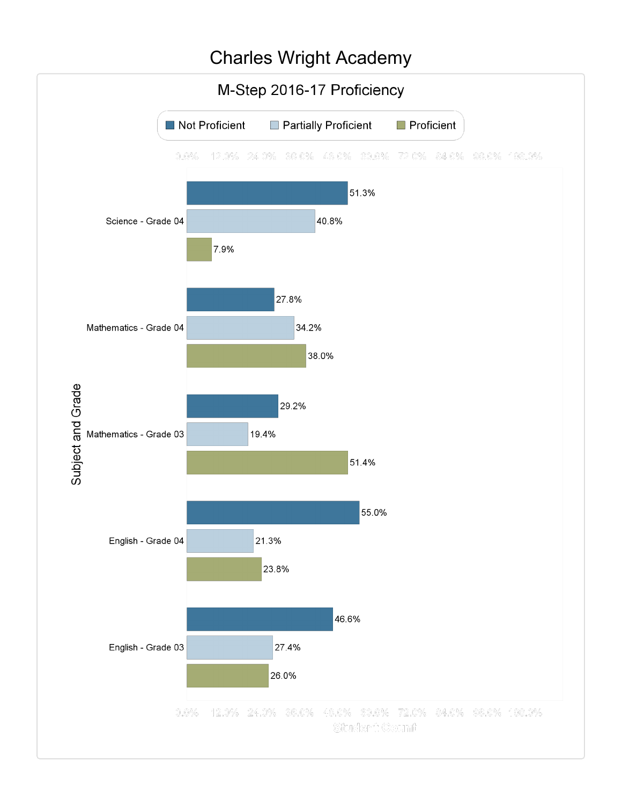### Charles Wright Academy

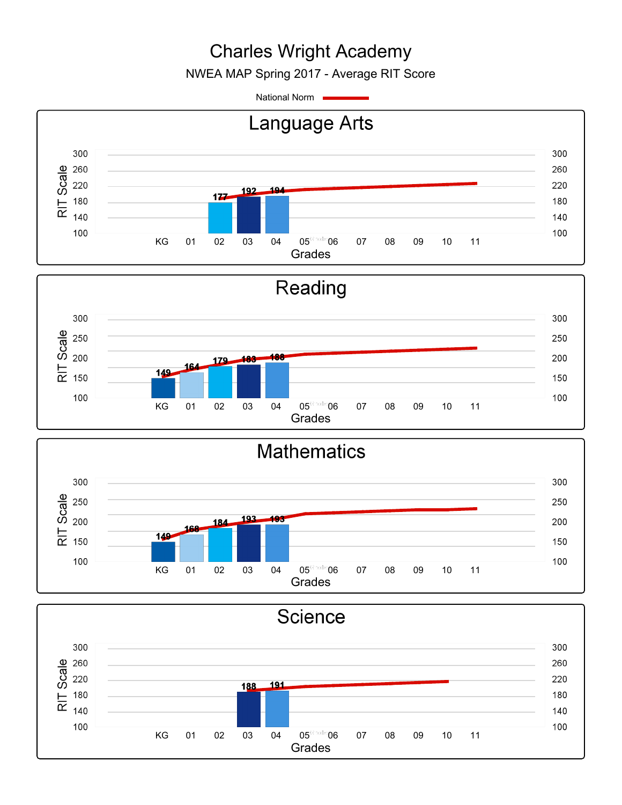# Charles Wright Academy

NWEA MAP Spring 2017 - Average RIT Score

National Norm